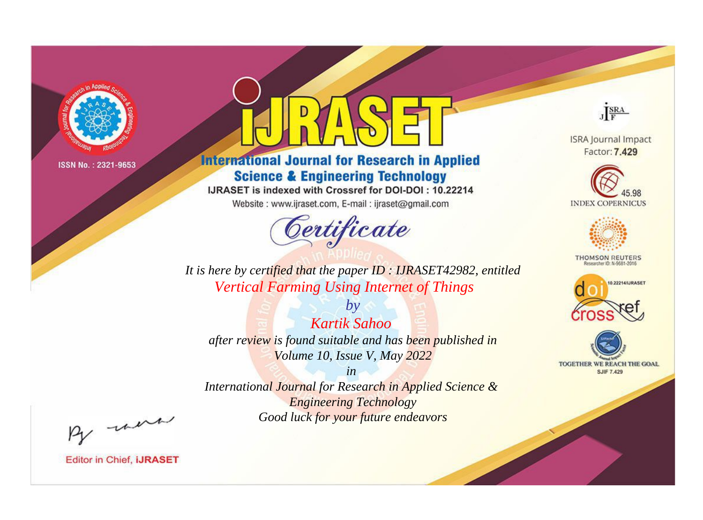

# **International Journal for Research in Applied Science & Engineering Technology**

IJRASET is indexed with Crossref for DOI-DOI: 10.22214

Website: www.ijraset.com, E-mail: ijraset@gmail.com



JERA

**ISRA Journal Impact** Factor: 7.429





**THOMSON REUTERS** 



TOGETHER WE REACH THE GOAL **SJIF 7.429** 

*It is here by certified that the paper ID : IJRASET42982, entitled Vertical Farming Using Internet of Things*

*by Kartik Sahoo after review is found suitable and has been published in Volume 10, Issue V, May 2022*

*in* 

*International Journal for Research in Applied Science & Engineering Technology Good luck for your future endeavors*

By morn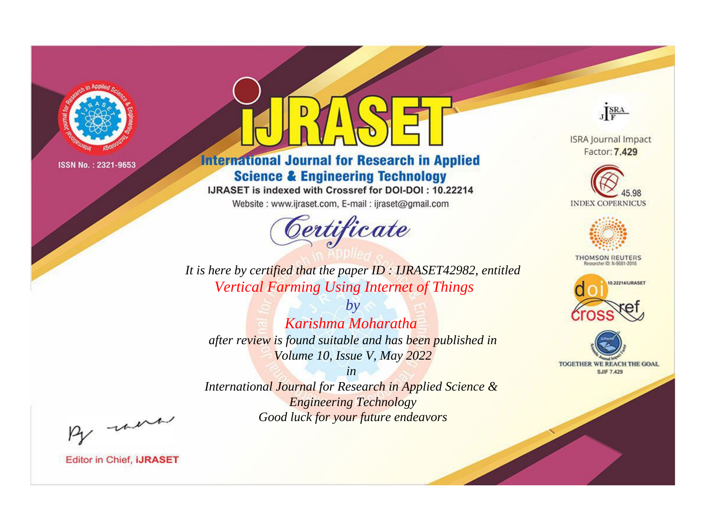

# **International Journal for Research in Applied Science & Engineering Technology**

IJRASET is indexed with Crossref for DOI-DOI: 10.22214

Website: www.ijraset.com, E-mail: ijraset@gmail.com



JERA

**ISRA Journal Impact** Factor: 7.429





**THOMSON REUTERS** 



TOGETHER WE REACH THE GOAL **SJIF 7.429** 

It is here by certified that the paper ID: IJRASET42982, entitled **Vertical Farming Using Internet of Things** 

Karishma Moharatha after review is found suitable and has been published in Volume 10, Issue V, May 2022

 $b\nu$ 

 $in$ International Journal for Research in Applied Science & **Engineering Technology** Good luck for your future endeavors

By morn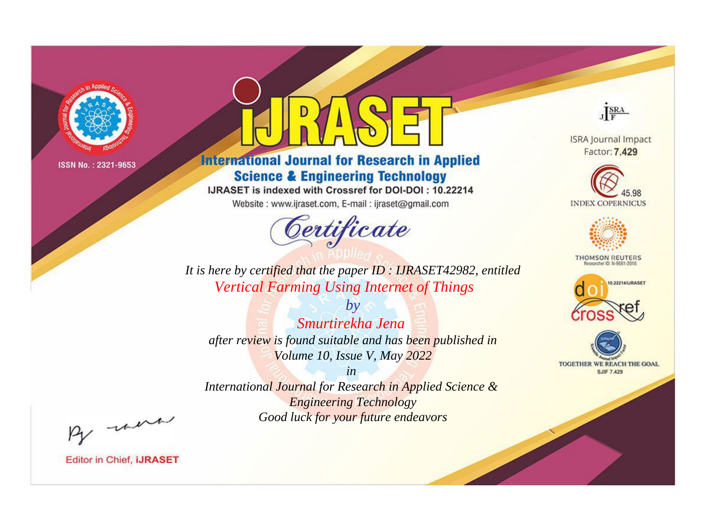

# **International Journal for Research in Applied Science & Engineering Technology**

IJRASET is indexed with Crossref for DOI-DOI: 10.22214

Website: www.ijraset.com, E-mail: ijraset@gmail.com



JERA

**ISRA Journal Impact** Factor: 7.429





**THOMSON REUTERS** 



TOGETHER WE REACH THE GOAL **SJIF 7.429** 

*It is here by certified that the paper ID : IJRASET42982, entitled Vertical Farming Using Internet of Things*

*by Smurtirekha Jena after review is found suitable and has been published in Volume 10, Issue V, May 2022*

*in International Journal for Research in Applied Science &* 

*Engineering Technology Good luck for your future endeavors*

By morn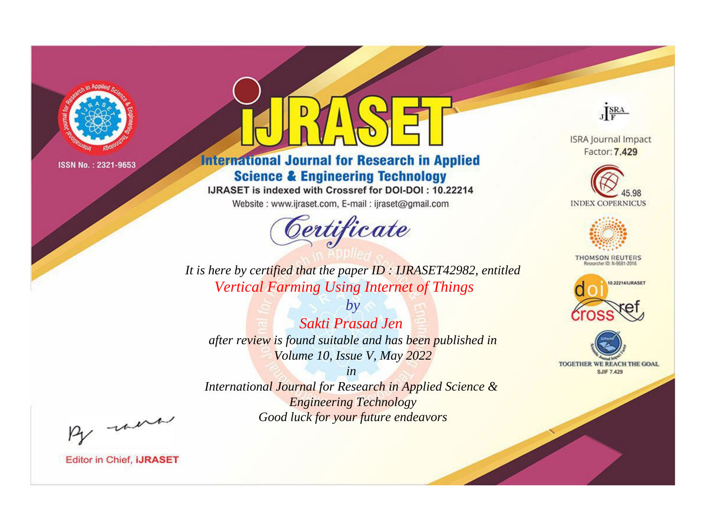

# **International Journal for Research in Applied Science & Engineering Technology**

IJRASET is indexed with Crossref for DOI-DOI: 10.22214

Website: www.ijraset.com, E-mail: ijraset@gmail.com



JERA

**ISRA Journal Impact** Factor: 7.429





**THOMSON REUTERS** 



TOGETHER WE REACH THE GOAL **SJIF 7.429** 

*It is here by certified that the paper ID : IJRASET42982, entitled Vertical Farming Using Internet of Things*

*by Sakti Prasad Jen after review is found suitable and has been published in Volume 10, Issue V, May 2022*

*in* 

*International Journal for Research in Applied Science & Engineering Technology Good luck for your future endeavors*

By morn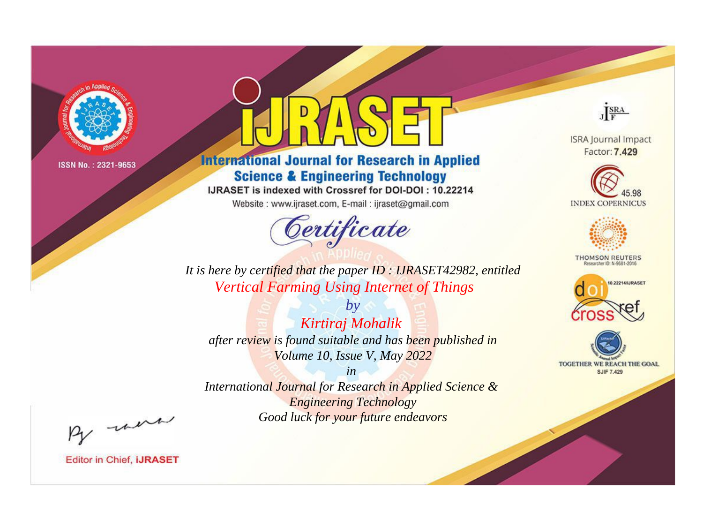

# **International Journal for Research in Applied Science & Engineering Technology**

IJRASET is indexed with Crossref for DOI-DOI: 10.22214

Website: www.ijraset.com, E-mail: ijraset@gmail.com



JERA

**ISRA Journal Impact** Factor: 7.429





**THOMSON REUTERS** 



TOGETHER WE REACH THE GOAL **SJIF 7.429** 

It is here by certified that the paper ID: IJRASET42982, entitled **Vertical Farming Using Internet of Things** 

 $by$ Kirtiraj Mohalik after review is found suitable and has been published in Volume 10, Issue V, May 2022

 $in$ International Journal for Research in Applied Science & **Engineering Technology** Good luck for your future endeavors

By morn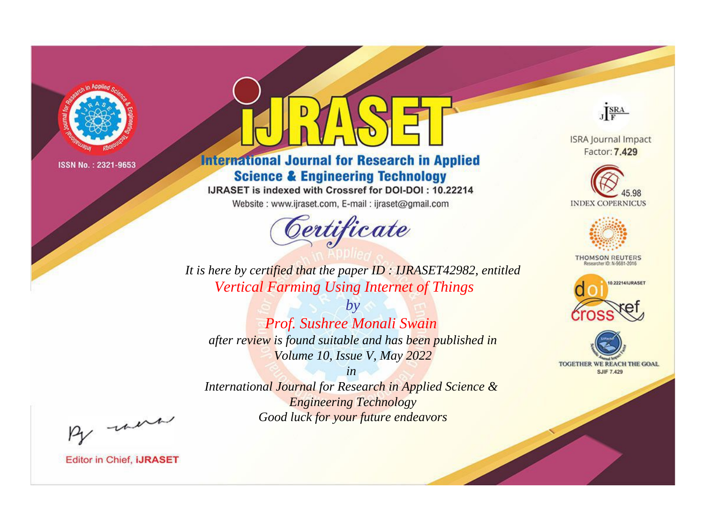

# **International Journal for Research in Applied Science & Engineering Technology**

IJRASET is indexed with Crossref for DOI-DOI: 10.22214

Website: www.ijraset.com, E-mail: ijraset@gmail.com



JERA

**ISRA Journal Impact** Factor: 7.429





**THOMSON REUTERS** 



TOGETHER WE REACH THE GOAL **SJIF 7.429** 

*It is here by certified that the paper ID : IJRASET42982, entitled Vertical Farming Using Internet of Things*

*Prof. Sushree Monali Swain after review is found suitable and has been published in Volume 10, Issue V, May 2022*

*by*

*in* 

*International Journal for Research in Applied Science & Engineering Technology Good luck for your future endeavors*

By morn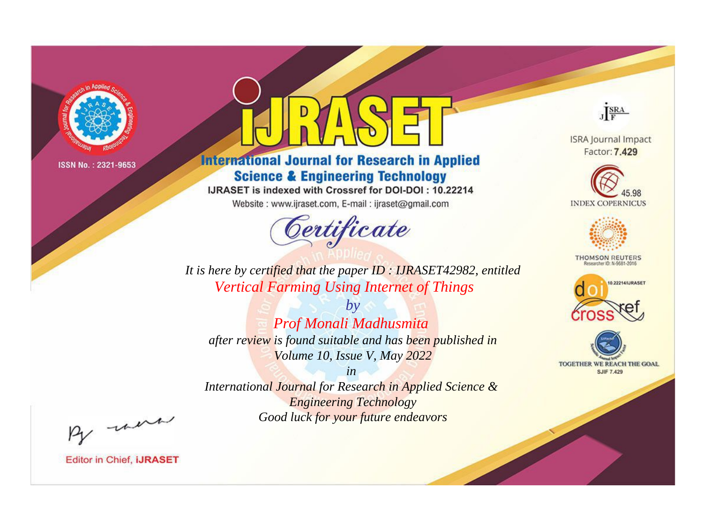

# **International Journal for Research in Applied Science & Engineering Technology**

IJRASET is indexed with Crossref for DOI-DOI: 10.22214

Website: www.ijraset.com, E-mail: ijraset@gmail.com



JERA

**ISRA Journal Impact** Factor: 7.429





**THOMSON REUTERS** 



TOGETHER WE REACH THE GOAL **SJIF 7.429** 

It is here by certified that the paper ID: IJRASET42982, entitled **Vertical Farming Using Internet of Things** 

 $by$ Prof Monali Madhusmita after review is found suitable and has been published in Volume 10, Issue V, May 2022

 $in$ International Journal for Research in Applied Science & **Engineering Technology** Good luck for your future endeavors

By morn